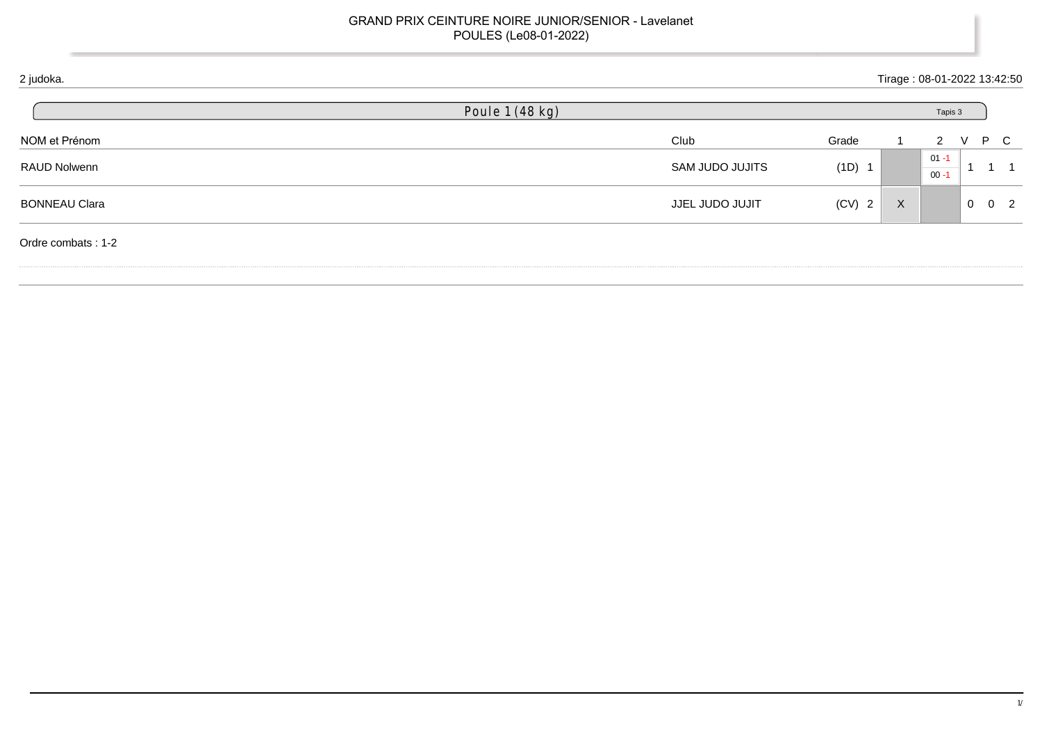## GRAND PRIX CEINTURE NOIRE JUNIOR/SENIOR - Lavelanet POULES (Le08-01-2022)

| 2 judoka.            |                 |                 |          |              | Tirage: 08-01-2022 13:42:50 |   |                     |  |
|----------------------|-----------------|-----------------|----------|--------------|-----------------------------|---|---------------------|--|
|                      | Poule 1 (48 kg) |                 |          |              | Tapis 3                     |   |                     |  |
| NOM et Prénom        |                 | Club            | Grade    |              | 2                           | V | P C                 |  |
| RAUD Nolwenn         |                 | SAM JUDO JUJITS | (1D) 1   |              | $01 - 1$<br>$00 - 1$        |   |                     |  |
| <b>BONNEAU Clara</b> |                 | JJEL JUDO JUJIT | $(CV)$ 2 | $\mathsf{X}$ |                             |   | $0 \quad 0 \quad 2$ |  |
| Ordre combats: 1-2   |                 |                 |          |              |                             |   |                     |  |
|                      |                 |                 |          |              |                             |   |                     |  |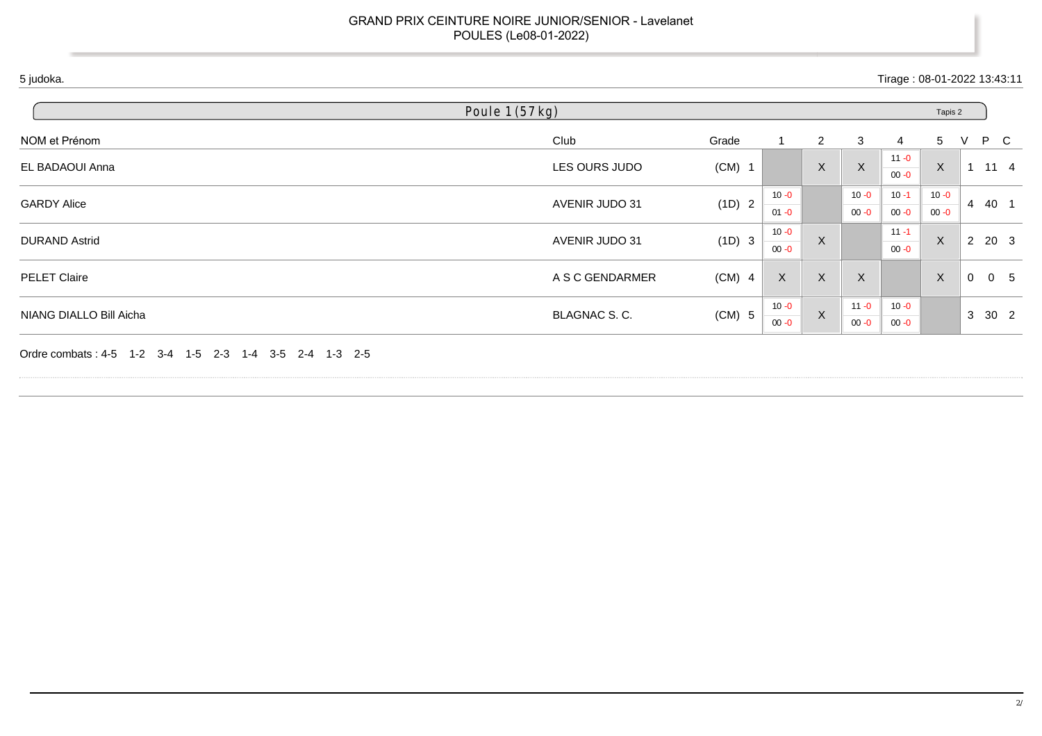## GRAND PRIX CEINTURE NOIRE JUNIOR/SENIOR - Lavelanet POULES (Le08-01-2022)

| Poule 1 (57 kg)         |                 |                          |                      |                |              |                      | Tapis 2        |             |                 |      |
|-------------------------|-----------------|--------------------------|----------------------|----------------|--------------|----------------------|----------------|-------------|-----------------|------|
| NOM et Prénom           | Club            | Grade                    |                      | $\overline{2}$ | 3            | 4                    | $\overline{5}$ | V           | P C             |      |
| EL BADAOUI Anna         | LES OURS JUDO   | $(CM)$ 1                 |                      | $\mathsf X$    | $\mathsf{X}$ | $11 - 0$<br>$00 - 0$ | $\mathsf{X}$   |             | $11 \quad 4$    |      |
| <b>GARDY Alice</b>      |                 | (1D) 2<br>AVENIR JUDO 31 | $10 - 0$<br>$01 - 0$ |                |              | 10 - 0               | $10 - 1$       | $10 - 0$    | $\overline{4}$  | 40 1 |
|                         |                 |                          |                      |                | $00 - 0$     | $00 - 0$             | $00 - 0$       |             |                 |      |
| <b>DURAND Astrid</b>    | AVENIR JUDO 31  | (1D) 3                   | $10 - 0$             | X              |              | $11 - 1$             | X              |             | 2 20 3          |      |
|                         |                 |                          | $00 - 0$             |                |              | $00 - 0$             |                |             |                 |      |
| <b>PELET Claire</b>     | A S C GENDARMER | $(CM)$ 4                 | $\mathsf{X}$         | $\mathsf X$    | $\mathsf X$  |                      | $\mathsf{X}$   | $\mathbf 0$ | 0 <sub>5</sub>  |      |
|                         |                 |                          | $10 - 0$             | $\mathsf X$    |              | $11 - 0$             | $10 - 0$       |             | $\mathbf{3}$    |      |
| NIANG DIALLO Bill Aicha | BLAGNAC S.C.    | $(CM)$ 5                 | $00 - 0$             |                | $00 - 0$     | $00 - 0$             |                |             | 30 <sub>2</sub> |      |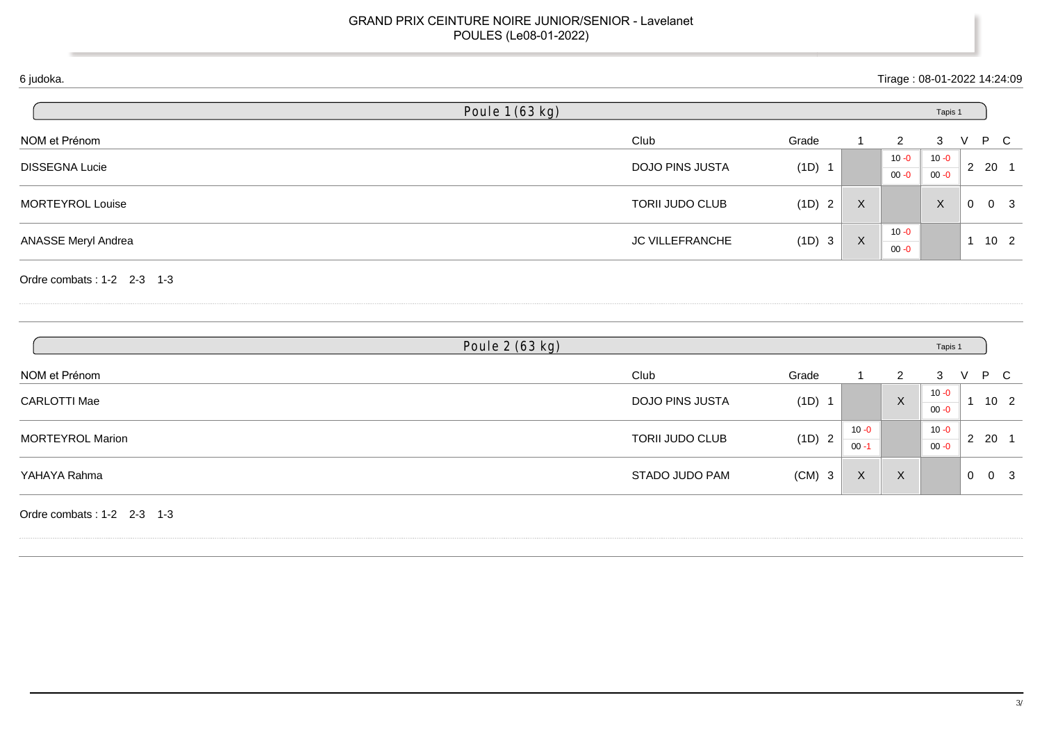## GRAND PRIX CEINTURE NOIRE JUNIOR/SENIOR - Lavelanet POULES (Le08-01-2022)

| Club<br><b>DOJO PINS JUSTA</b> | Grade<br>(1D) 1 |             | $\overline{2}$<br>$10 - 0$ | 3<br>$10 - 0$             | V           | P C                  |
|--------------------------------|-----------------|-------------|----------------------------|---------------------------|-------------|----------------------|
|                                |                 |             |                            |                           |             |                      |
|                                |                 |             | $00 - 0$                   | $00 - 0$                  |             | $2 \quad 20 \quad 1$ |
| TORII JUDO CLUB                | (1D) 2          | X           |                            | $\boldsymbol{\mathsf{X}}$ | $\mathbf 0$ | 0 <sup>3</sup>       |
| <b>JC VILLEFRANCHE</b>         | (1D) 3          | $\mathsf X$ | $10 - 0$<br>$00 - 0$       |                           |             | $1 10 2$             |
|                                |                 |             |                            |                           |             |                      |
|                                |                 |             |                            |                           |             |                      |
|                                |                 |             |                            |                           |             | Tapis 1              |

| NOM et Prénom       | Club            | Grade                  |                      |                           | 3                    |                | P C             |  |
|---------------------|-----------------|------------------------|----------------------|---------------------------|----------------------|----------------|-----------------|--|
| <b>CARLOTTI Mae</b> | DOJO PINS JUSTA | (1D)                   |                      | $\sf X$                   | $10 - 0$<br>$00 - 0$ |                | 10 <sub>2</sub> |  |
| MORTEYROL Marion    | TORII JUDO CLUB | (1D)<br>$\overline{2}$ | $10 - 0$<br>$00 - 1$ |                           | $10 - 0$<br>$00 - 0$ | $\overline{2}$ | -20             |  |
| YAHAYA Rahma        | STADO JUDO PAM  | (CM)<br>- 3            | X                    | $\checkmark$<br>$\lambda$ |                      | $\mathbf 0$    | 0 <sup>3</sup>  |  |

Ordre combats : 1-2 2-3 1-3